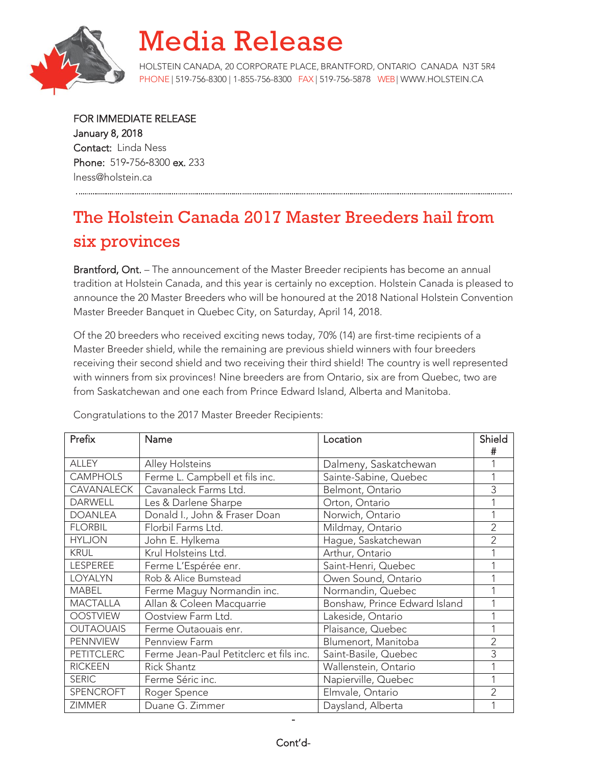

## Media Release

HOLSTEIN CANADA, 20 CORPORATE PLACE, BRANTFORD, ONTARIO CANADA N3T 5R4 PHONE | 519-756-8300 | 1-855-756-8300 FAX | 519-756-5878 WEB| [WWW.HOLSTEIN.CA](http://www.holstein.ca/)

FOR IMMEDIATE RELEASE January 8, 2018 Contact: Linda Ness Phone: 519-756-8300 ex. 233 lness@holstein.ca

## The Holstein Canada 2017 Master Breeders hail from six provinces

Brantford, Ont. – The announcement of the Master Breeder recipients has become an annual tradition at Holstein Canada, and this year is certainly no exception. Holstein Canada is pleased to announce the 20 Master Breeders who will be honoured at the 2018 National Holstein Convention Master Breeder Banquet in Quebec City, on Saturday, April 14, 2018.

Of the 20 breeders who received exciting news today, 70% (14) are first-time recipients of a Master Breeder shield, while the remaining are previous shield winners with four breeders receiving their second shield and two receiving their third shield! The country is well represented with winners from six provinces! Nine breeders are from Ontario, six are from Quebec, two are from Saskatchewan and one each from Prince Edward Island, Alberta and Manitoba.

| Prefix            | Name                                    | Location                      | Shield         |
|-------------------|-----------------------------------------|-------------------------------|----------------|
|                   |                                         |                               | #              |
| <b>ALLEY</b>      | Alley Holsteins                         | Dalmeny, Saskatchewan         |                |
| <b>CAMPHOLS</b>   | Ferme L. Campbell et fils inc.          | Sainte-Sabine, Quebec         |                |
| <b>CAVANALECK</b> | Cavanaleck Farms Ltd.                   | Belmont, Ontario              | 3              |
| <b>DARWELL</b>    | Les & Darlene Sharpe                    | Orton, Ontario                |                |
| <b>DOANLEA</b>    | Donald I., John & Fraser Doan           | Norwich, Ontario              |                |
| <b>FLORBIL</b>    | Florbil Farms Ltd.                      | Mildmay, Ontario              | 2              |
| <b>HYLJON</b>     | John E. Hylkema                         | Hague, Saskatchewan           | $\overline{2}$ |
| <b>KRUL</b>       | Krul Holsteins Ltd.                     | Arthur, Ontario               |                |
| <b>LESPEREE</b>   | Ferme L'Espérée enr.                    | Saint-Henri, Quebec           |                |
| LOYALYN           | Rob & Alice Bumstead                    | Owen Sound, Ontario           |                |
| <b>MABEL</b>      | Ferme Maguy Normandin inc.              | Normandin, Quebec             |                |
| <b>MACTALLA</b>   | Allan & Coleen Macquarrie               | Bonshaw, Prince Edward Island |                |
| <b>OOSTVIEW</b>   | Oostview Farm Ltd.                      | Lakeside, Ontario             |                |
| <b>OUTAOUAIS</b>  | Ferme Outaouais enr.                    | Plaisance, Quebec             |                |
| PENNVIEW          | Pennview Farm                           | Blumenort, Manitoba           | 2              |
| <b>PETITCLERC</b> | Ferme Jean-Paul Petitclerc et fils inc. | Saint-Basile, Quebec          | 3              |
| <b>RICKEEN</b>    | <b>Rick Shantz</b>                      | Wallenstein, Ontario          |                |
| <b>SERIC</b>      | Ferme Séric inc.                        | Napierville, Quebec           |                |
| SPENCROFT         | Roger Spence                            | Elmvale, Ontario              | $\overline{2}$ |
| <b>ZIMMER</b>     | Duane G. Zimmer                         | Daysland, Alberta             |                |

Congratulations to the 2017 Master Breeder Recipients:

-